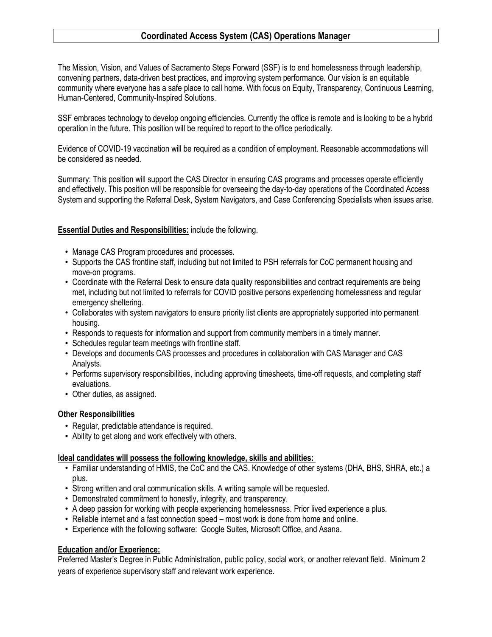# **Coordinated Access System (CAS) Operations Manager**

The Mission, Vision, and Values of Sacramento Steps Forward (SSF) is to end homelessness through leadership, convening partners, data-driven best practices, and improving system performance. Our vision is an equitable community where everyone has a safe place to call home. With focus on Equity, Transparency, Continuous Learning, Human-Centered, Community-Inspired Solutions.

SSF embraces technology to develop ongoing efficiencies. Currently the office is remote and is looking to be a hybrid operation in the future. This position will be required to report to the office periodically.

Evidence of COVID-19 vaccination will be required as a condition of employment. Reasonable accommodations will be considered as needed.

Summary: This position will support the CAS Director in ensuring CAS programs and processes operate efficiently and effectively. This position will be responsible for overseeing the day-to-day operations of the Coordinated Access System and supporting the Referral Desk, System Navigators, and Case Conferencing Specialists when issues arise.

**Essential Duties and Responsibilities:** include the following.

- Manage CAS Program procedures and processes.
- Supports the CAS frontline staff, including but not limited to PSH referrals for CoC permanent housing and move-on programs.
- Coordinate with the Referral Desk to ensure data quality responsibilities and contract requirements are being met, including but not limited to referrals for COVID positive persons experiencing homelessness and regular emergency sheltering.
- Collaborates with system navigators to ensure priority list clients are appropriately supported into permanent housing.
- Responds to requests for information and support from community members in a timely manner.
- Schedules regular team meetings with frontline staff.
- Develops and documents CAS processes and procedures in collaboration with CAS Manager and CAS Analysts.
- Performs supervisory responsibilities, including approving timesheets, time-off requests, and completing staff evaluations.
- Other duties, as assigned.

#### **Other Responsibilities**

- Regular, predictable attendance is required.
- Ability to get along and work effectively with others.

#### **Ideal candidates will possess the following knowledge, skills and abilities:**

- Familiar understanding of HMIS, the CoC and the CAS. Knowledge of other systems (DHA, BHS, SHRA, etc.) a plus.
- Strong written and oral communication skills. A writing sample will be requested.
- Demonstrated commitment to honestly, integrity, and transparency.
- A deep passion for working with people experiencing homelessness. Prior lived experience a plus.
- Reliable internet and a fast connection speed most work is done from home and online.
- Experience with the following software: Google Suites, Microsoft Office, and Asana.

## **Education and/or Experience:**

Preferred Master's Degree in Public Administration, public policy, social work, or another relevant field. Minimum 2 years of experience supervisory staff and relevant work experience.